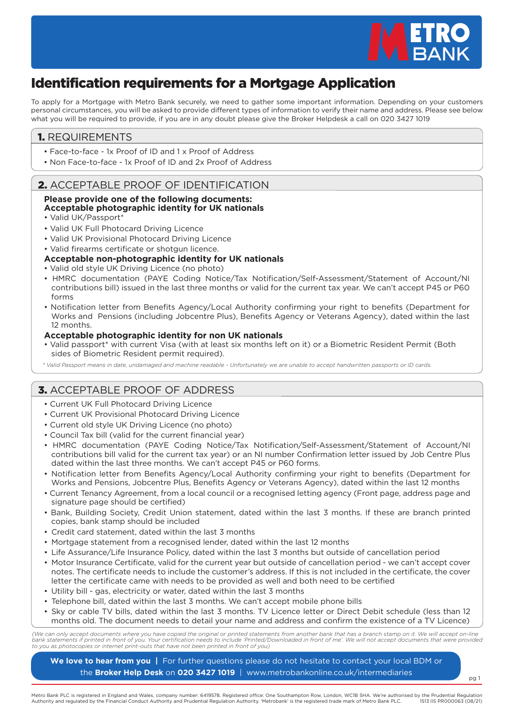

pg 1

# Identification requirements for a Mortgage Application

To apply for a Mortgage with Metro Bank securely, we need to gather some important information. Depending on your customers personal circumstances, you will be asked to provide different types of information to verify their name and address. Please see below what you will be required to provide, if you are in any doubt please give the Broker Helpdesk a call on 020 3427 1019

### 1. REQUIREMENTS

- Face-to-face 1x Proof of ID and 1 x Proof of Address
- Non Face-to-face 1x Proof of ID and 2x Proof of Address

## 2. ACCEPTABLE PROOF OF IDENTIFICATION

### **Please provide one of the following documents: Acceptable photographic identity for UK nationals**

- Valid UK/Passport\*
- Valid UK Full Photocard Driving Licence
- Valid UK Provisional Photocard Driving Licence
- Valid firearms certificate or shotgun licence.

### **Acceptable non-photographic identity for UK nationals**

- Valid old style UK Driving Licence (no photo)
- HMRC documentation (PAYE Coding Notice/Tax Notification/Self-Assessment/Statement of Account/NI contributions bill) issued in the last three months or valid for the current tax year. We can't accept P45 or P60 forms
- Notification letter from Benefits Agency/Local Authority confirming your right to benefits (Department for Works and Pensions (including Jobcentre Plus), Benefits Agency or Veterans Agency), dated within the last 12 months.

### **Acceptable photographic identity for non UK nationals**

- Valid passport\* with current Visa (with at least six months left on it) or a Biometric Resident Permit (Both sides of Biometric Resident permit required).
- *\* Valid Passport means in date, undamaged and machine readable Unfortunately we are unable to accept handwritten passports or ID cards.*

# 3. ACCEPTABLE PROOF OF ADDRESS

- Current UK Full Photocard Driving Licence
- Current UK Provisional Photocard Driving Licence
- Current old style UK Driving Licence (no photo)
- Council Tax bill (valid for the current financial year)
- HMRC documentation (PAYE Coding Notice/Tax Notification/Self-Assessment/Statement of Account/NI contributions bill valid for the current tax year) or an NI number Confirmation letter issued by Job Centre Plus dated within the last three months. We can't accept P45 or P60 forms.
- Notification letter from Benefits Agency/Local Authority confirming your right to benefits (Department for Works and Pensions, Jobcentre Plus, Benefits Agency or Veterans Agency), dated within the last 12 months
- Current Tenancy Agreement, from a local council or a recognised letting agency (Front page, address page and signature page should be certified)
- Bank, Building Society, Credit Union statement, dated within the last 3 months. If these are branch printed copies, bank stamp should be included
- Credit card statement, dated within the last 3 months
- Mortgage statement from a recognised lender, dated within the last 12 months
- Life Assurance/Life Insurance Policy, dated within the last 3 months but outside of cancellation period
- Motor Insurance Certificate, valid for the current year but outside of cancellation period we can't accept cover notes. The certificate needs to include the customer's address. If this is not included in the certificate, the cover letter the certificate came with needs to be provided as well and both need to be certified
- Utility bill gas, electricity or water, dated within the last 3 months
- Telephone bill, dated within the last 3 months. We can't accept mobile phone bills
- Sky or cable TV bills, dated within the last 3 months. TV Licence letter or Direct Debit schedule (less than 12 months old. The document needs to detail your name and address and confirm the existence of a TV Licence)

(We can only accept documents where you have copied the original or printed statements from another bank that has a branch stamp on it. We will accept on-line<br>bank statements if printed in front of you. Your certification *to you as photocopies or internet print-outs that have not been printed in front of you)*

**We love to hear from you |** For further questions please do not hesitate to contact your local BDM or the **Broker Help Desk** on **020 3427 1019** | www.metrobankonline.co.uk/intermediaries

Metro Bank PLC is registered in England and Wales, company number: 6419578. Registered office: One Southampton Row, London, WC1B 5HA. We're authorised by the Prudential Regulation<br>Authority and regulated by the Financial C Authority and regulated by the Financial Conduct Authority and Prudential Regulation Authority. 'Metrobank' is the registered trade mark of Metro Bank PLC.